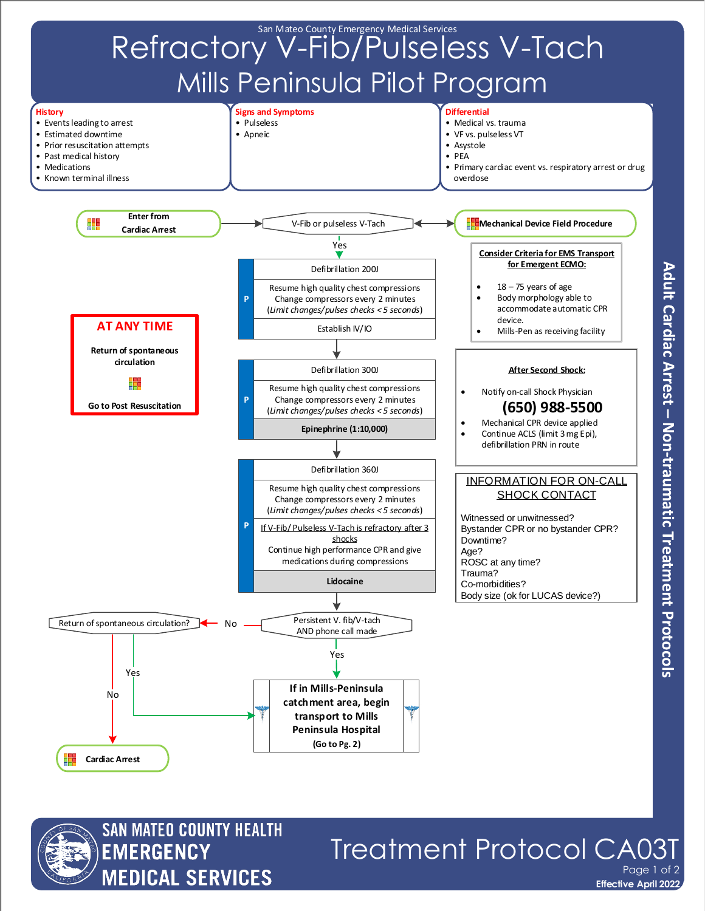



**Effective April 2022** Treatment Protocol CA0 Page 1 of